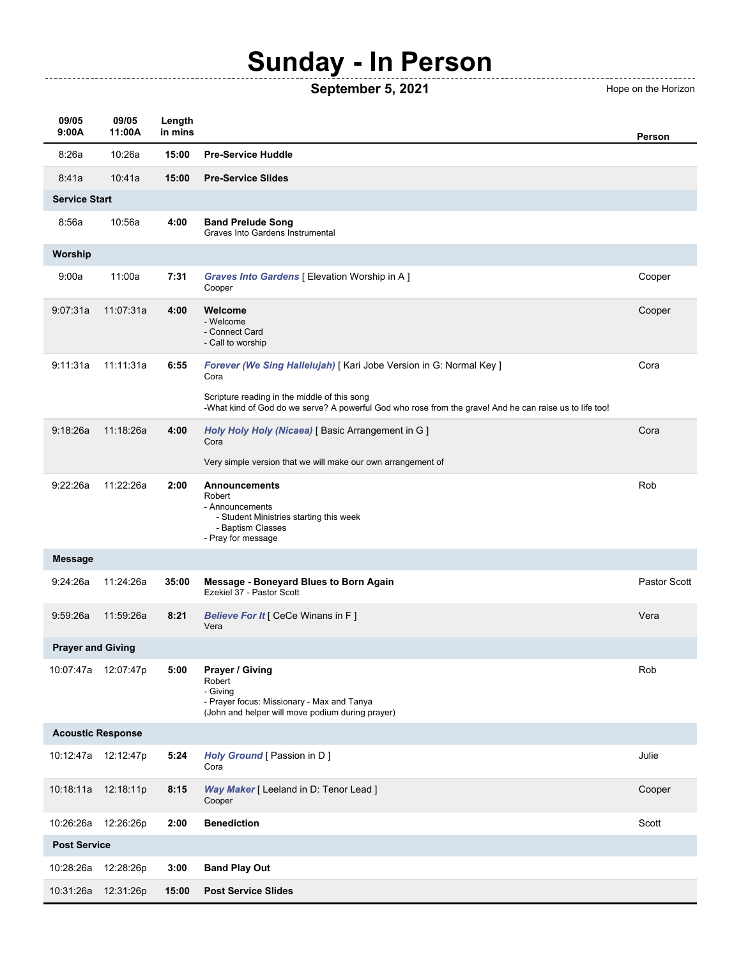## **Sunday - In Person**

**September 5, 2021** Hope on the Horizon

------------------------------------

| 09/05<br>9:00A           | 09/05<br>11:00A      | Length<br>in mins |                                                                                                                                                         | Person              |  |  |
|--------------------------|----------------------|-------------------|---------------------------------------------------------------------------------------------------------------------------------------------------------|---------------------|--|--|
| 8:26a                    | 10:26a               | 15:00             | <b>Pre-Service Huddle</b>                                                                                                                               |                     |  |  |
| 8:41a                    | 10:41a               | 15:00             | <b>Pre-Service Slides</b>                                                                                                                               |                     |  |  |
| <b>Service Start</b>     |                      |                   |                                                                                                                                                         |                     |  |  |
| 8:56a                    | 10:56a               | 4:00              | <b>Band Prelude Song</b><br>Graves Into Gardens Instrumental                                                                                            |                     |  |  |
| Worship                  |                      |                   |                                                                                                                                                         |                     |  |  |
| 9:00a                    | 11:00a               | 7:31              | Graves Into Gardens [ Elevation Worship in A ]<br>Cooper                                                                                                | Cooper              |  |  |
| 9:07:31a                 | 11:07:31a            | 4:00              | Welcome<br>- Welcome<br>- Connect Card<br>- Call to worship                                                                                             | Cooper              |  |  |
| 9:11:31a                 | 11:11:31a            | 6:55              | Forever (We Sing Hallelujah) [ Kari Jobe Version in G: Normal Key ]<br>Cora                                                                             | Cora                |  |  |
|                          |                      |                   | Scripture reading in the middle of this song<br>-What kind of God do we serve? A powerful God who rose from the grave! And he can raise us to life too! |                     |  |  |
| 9:18:26a                 | 11:18:26a            | 4:00              | Holy Holy Holy (Nicaea) [ Basic Arrangement in G ]<br>Cora                                                                                              | Cora                |  |  |
|                          |                      |                   | Very simple version that we will make our own arrangement of                                                                                            |                     |  |  |
| 9:22:26a                 | 11:22:26a            | 2:00              | <b>Announcements</b><br>Robert<br>- Announcements<br>- Student Ministries starting this week<br>- Baptism Classes<br>- Pray for message                 | Rob                 |  |  |
| <b>Message</b>           |                      |                   |                                                                                                                                                         |                     |  |  |
| 9:24:26a                 | 11:24:26a            | 35:00             | <b>Message - Boneyard Blues to Born Again</b><br>Ezekiel 37 - Pastor Scott                                                                              | <b>Pastor Scott</b> |  |  |
| 9:59:26a                 | 11:59:26a            | 8:21              | <b>Believe For It [ CeCe Winans in F ]</b><br>Vera                                                                                                      | Vera                |  |  |
| <b>Prayer and Giving</b> |                      |                   |                                                                                                                                                         |                     |  |  |
|                          | 10:07:47a 12:07:47p  | 5:00              | Prayer / Giving<br>Robert<br>- Giving<br>- Prayer focus: Missionary - Max and Tanya<br>(John and helper will move podium during prayer)                 | Rob                 |  |  |
| <b>Acoustic Response</b> |                      |                   |                                                                                                                                                         |                     |  |  |
|                          | 10:12:47a  12:12:47p | 5:24              | Holy Ground [ Passion in D ]<br>Cora                                                                                                                    | Julie               |  |  |
|                          | 10:18:11a  12:18:11p | 8:15              | Way Maker [ Leeland in D: Tenor Lead ]<br>Cooper                                                                                                        | Cooper              |  |  |
| 10:26:26a                | 12:26:26p            | 2:00              | <b>Benediction</b>                                                                                                                                      | Scott               |  |  |
| <b>Post Service</b>      |                      |                   |                                                                                                                                                         |                     |  |  |
| 10:28:26a                | 12:28:26p            | 3:00              | <b>Band Play Out</b>                                                                                                                                    |                     |  |  |
| 10:31:26a                | 12:31:26p            | 15:00             | <b>Post Service Slides</b>                                                                                                                              |                     |  |  |